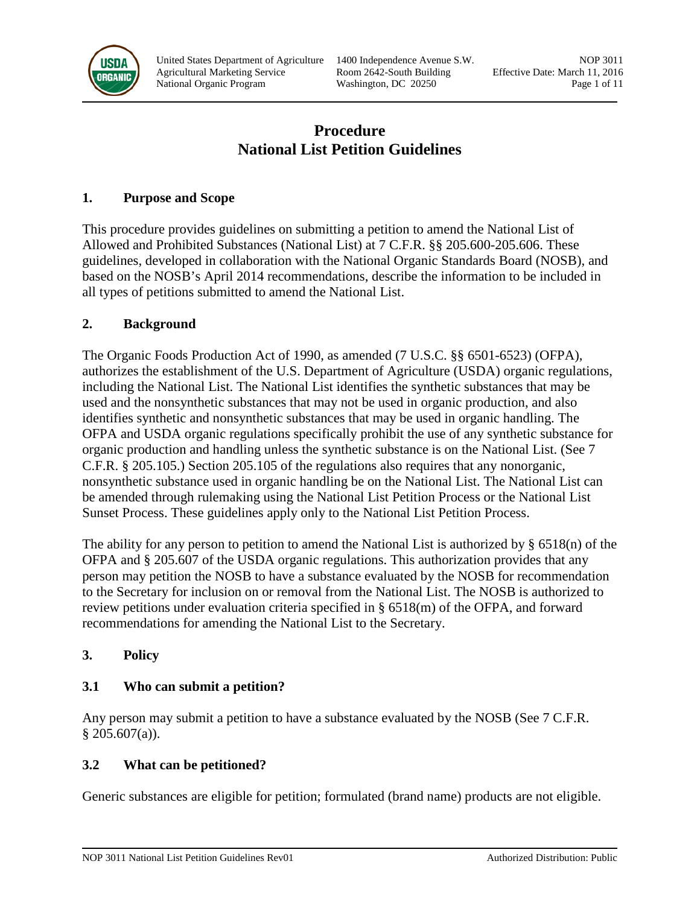

United States Department of Agriculture 1400 Independence Avenue S.W. NOP 3011 Agricultural Marketing Service Room 2642-South Building Effective Date: March 11, 2016 National Organic Program Washington, DC 20250 Page 1 of 11

# **Procedure National List Petition Guidelines**

### **1. Purpose and Scope**

This procedure provides guidelines on submitting a petition to amend the National List of Allowed and Prohibited Substances (National List) at 7 C.F.R. §§ 205.600-205.606. These guidelines, developed in collaboration with the National Organic Standards Board (NOSB), and based on the NOSB's April 2014 recommendations, describe the information to be included in all types of petitions submitted to amend the National List.

### **2. Background**

The Organic Foods Production Act of 1990, as amended (7 U.S.C. §§ 6501-6523) (OFPA), authorizes the establishment of the U.S. Department of Agriculture (USDA) organic regulations, including the National List. The National List identifies the synthetic substances that may be used and the nonsynthetic substances that may not be used in organic production, and also identifies synthetic and nonsynthetic substances that may be used in organic handling. The OFPA and USDA organic regulations specifically prohibit the use of any synthetic substance for organic production and handling unless the synthetic substance is on the National List. (See 7 C.F.R. § 205.105.) Section 205.105 of the regulations also requires that any nonorganic, nonsynthetic substance used in organic handling be on the National List. The National List can be amended through rulemaking using the National List Petition Process or the National List Sunset Process. These guidelines apply only to the National List Petition Process.

The ability for any person to petition to amend the National List is authorized by  $\S$  6518(n) of the OFPA and § 205.607 of the USDA organic regulations. This authorization provides that any person may petition the NOSB to have a substance evaluated by the NOSB for recommendation to the Secretary for inclusion on or removal from the National List. The NOSB is authorized to review petitions under evaluation criteria specified in § 6518(m) of the OFPA, and forward recommendations for amending the National List to the Secretary.

### **3. Policy**

# **3.1 Who can submit a petition?**

Any person may submit a petition to have a substance evaluated by the NOSB (See 7 C.F.R.)  $§$  205.607(a)).

# **3.2 What can be petitioned?**

Generic substances are eligible for petition; formulated (brand name) products are not eligible.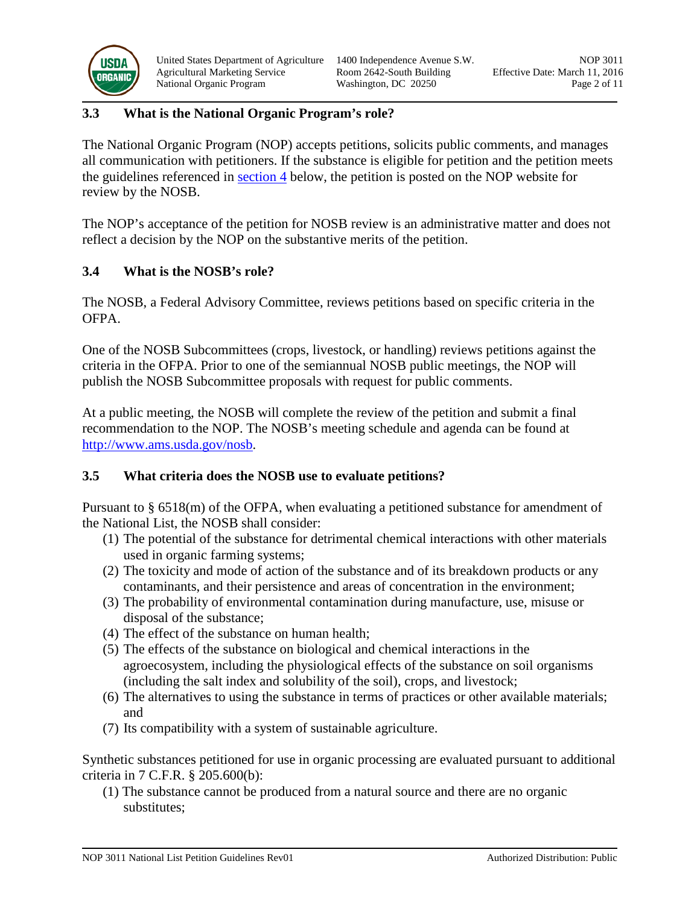

United States Department of Agriculture 1400 Independence Avenue S.W. NOP 3011 Agricultural Marketing Service Room 2642-South Building Effective Date: March 11, 2016 National Organic Program Washington, DC 20250 Page 2 of 11

### **3.3 What is the National Organic Program's role?**

The National Organic Program (NOP) accepts petitions, solicits public comments, and manages all communication with petitioners. If the substance is eligible for petition and the petition meets the guidelines referenced in [section 4](#page-3-0) below, the petition is posted on the NOP website for review by the NOSB.

The NOP's acceptance of the petition for NOSB review is an administrative matter and does not reflect a decision by the NOP on the substantive merits of the petition.

### **3.4 What is the NOSB's role?**

The NOSB, a Federal Advisory Committee, reviews petitions based on specific criteria in the OFPA.

One of the NOSB Subcommittees (crops, livestock, or handling) reviews petitions against the criteria in the OFPA. Prior to one of the semiannual NOSB public meetings, the NOP will publish the NOSB Subcommittee proposals with request for public comments.

At a public meeting, the NOSB will complete the review of the petition and submit a final recommendation to the NOP. The NOSB's meeting schedule and agenda can be found at [http://www.ams.usda.gov/nosb.](http://www.ams.usda.gov/nosb)

### <span id="page-1-0"></span>**3.5 What criteria does the NOSB use to evaluate petitions?**

Pursuant to § 6518(m) of the OFPA, when evaluating a petitioned substance for amendment of the National List, the NOSB shall consider:

- (1) The potential of the substance for detrimental chemical interactions with other materials used in organic farming systems;
- (2) The toxicity and mode of action of the substance and of its breakdown products or any contaminants, and their persistence and areas of concentration in the environment;
- (3) The probability of environmental contamination during manufacture, use, misuse or disposal of the substance;
- (4) The effect of the substance on human health;
- (5) The effects of the substance on biological and chemical interactions in the agroecosystem, including the physiological effects of the substance on soil organisms (including the salt index and solubility of the soil), crops, and livestock;
- (6) The alternatives to using the substance in terms of practices or other available materials; and
- (7) Its compatibility with a system of sustainable agriculture.

Synthetic substances petitioned for use in organic processing are evaluated pursuant to additional criteria in 7 C.F.R. § 205.600(b):

(1) The substance cannot be produced from a natural source and there are no organic substitutes;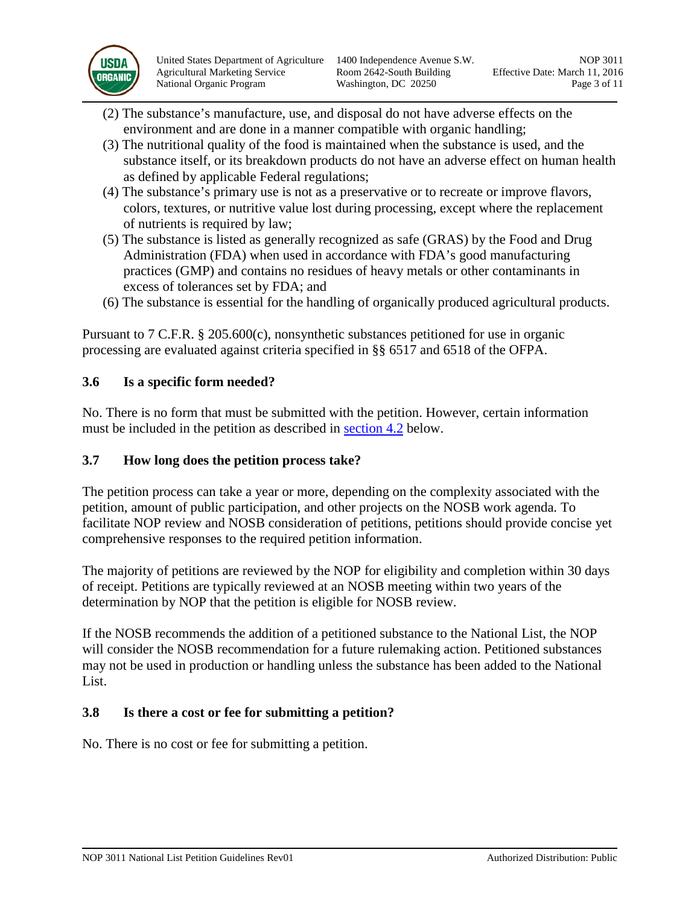

United States Department of Agriculture 1400 Independence Avenue S.W. NOP 3011 Agricultural Marketing Service Room 2642-South Building Effective Date: March 11, 2016 National Organic Program Washington, DC 20250 Page 3 of 11

- (2) The substance's manufacture, use, and disposal do not have adverse effects on the environment and are done in a manner compatible with organic handling;
- (3) The nutritional quality of the food is maintained when the substance is used, and the substance itself, or its breakdown products do not have an adverse effect on human health as defined by applicable Federal regulations;
- (4) The substance's primary use is not as a preservative or to recreate or improve flavors, colors, textures, or nutritive value lost during processing, except where the replacement of nutrients is required by law;
- (5) The substance is listed as generally recognized as safe (GRAS) by the Food and Drug Administration (FDA) when used in accordance with FDA's good manufacturing practices (GMP) and contains no residues of heavy metals or other contaminants in excess of tolerances set by FDA; and
- (6) The substance is essential for the handling of organically produced agricultural products.

Pursuant to 7 C.F.R. § 205.600(c), nonsynthetic substances petitioned for use in organic processing are evaluated against criteria specified in §§ 6517 and 6518 of the OFPA.

### **3.6 Is a specific form needed?**

No. There is no form that must be submitted with the petition. However, certain information must be included in the petition as described in [section 4.2](#page-4-0) below.

### **3.7 How long does the petition process take?**

The petition process can take a year or more, depending on the complexity associated with the petition, amount of public participation, and other projects on the NOSB work agenda. To facilitate NOP review and NOSB consideration of petitions, petitions should provide concise yet comprehensive responses to the required petition information.

The majority of petitions are reviewed by the NOP for eligibility and completion within 30 days of receipt. Petitions are typically reviewed at an NOSB meeting within two years of the determination by NOP that the petition is eligible for NOSB review.

If the NOSB recommends the addition of a petitioned substance to the National List, the NOP will consider the NOSB recommendation for a future rulemaking action. Petitioned substances may not be used in production or handling unless the substance has been added to the National List.

# **3.8 Is there a cost or fee for submitting a petition?**

No. There is no cost or fee for submitting a petition.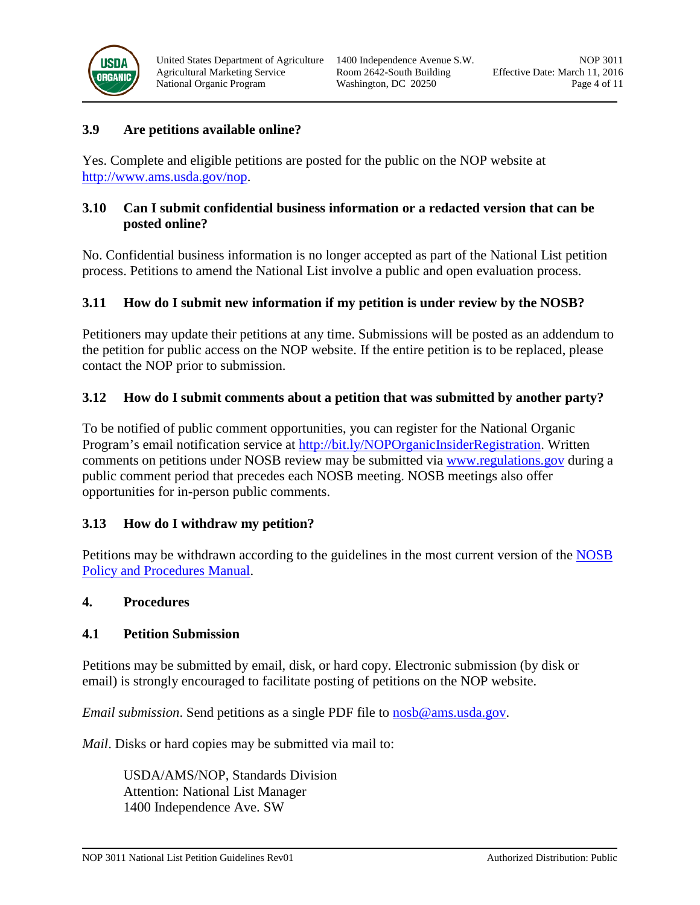

#### **3.9 Are petitions available online?**

Yes. Complete and eligible petitions are posted for the public on the NOP website at [http://www.ams.usda.gov/nop.](http://www.ams.usda.gov/nop)

### **3.10 Can I submit confidential business information or a redacted version that can be posted online?**

No. Confidential business information is no longer accepted as part of the National List petition process. Petitions to amend the National List involve a public and open evaluation process.

#### **3.11 How do I submit new information if my petition is under review by the NOSB?**

Petitioners may update their petitions at any time. Submissions will be posted as an addendum to the petition for public access on the NOP website. If the entire petition is to be replaced, please contact the NOP prior to submission.

#### **3.12 How do I submit comments about a petition that was submitted by another party?**

To be notified of public comment opportunities, you can register for the National Organic Program's email notification service at [http://bit.ly/NOPOrganicInsiderRegistration.](http://bit.ly/NOPOrganicInsiderRegistration) Written comments on petitions under NOSB review may be submitted via [www.regulations.gov](http://www.regulations.gov/) during a public comment period that precedes each NOSB meeting. NOSB meetings also offer opportunities for in-person public comments.

### **3.13 How do I withdraw my petition?**

Petitions may be withdrawn according to the guidelines in the most current version of the NOSB [Policy and Procedures Manual.](http://www.ams.usda.gov/sites/default/files/media/NOSB-PolicyManual.pdf)

#### **4. Procedures**

#### <span id="page-3-0"></span>**4.1 Petition Submission**

Petitions may be submitted by email, disk, or hard copy. Electronic submission (by disk or email) is strongly encouraged to facilitate posting of petitions on the NOP website.

*Email submission*. Send petitions as a single PDF file to [nosb@ams.usda.gov.](mailto:nosb@ams.usda.gov)

*Mail*. Disks or hard copies may be submitted via mail to:

USDA/AMS/NOP, Standards Division Attention: National List Manager 1400 Independence Ave. SW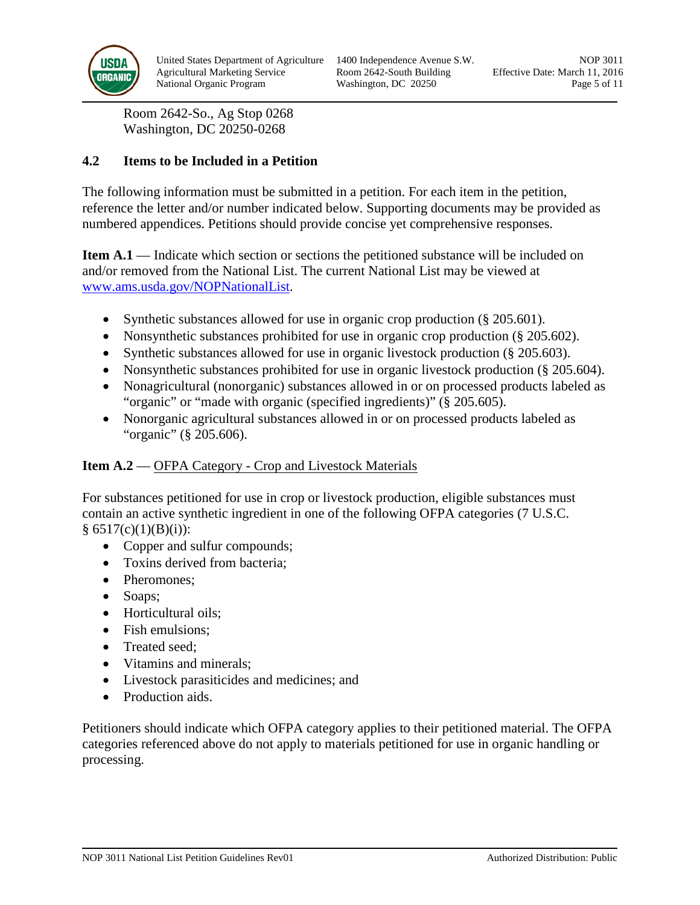

Room 2642-So., Ag Stop 0268 Washington, DC 20250-0268

### <span id="page-4-0"></span>**4.2 Items to be Included in a Petition**

The following information must be submitted in a petition. For each item in the petition, reference the letter and/or number indicated below. Supporting documents may be provided as numbered appendices. Petitions should provide concise yet comprehensive responses.

**Item A.1** — Indicate which section or sections the petitioned substance will be included on and/or removed from the National List. The current National List may be viewed at [www.ams.usda.gov/NOPNationalList.](http://www.ams.usda.gov/NOPNationalList)

- Synthetic substances allowed for use in organic crop production (§ 205.601).
- Nonsynthetic substances prohibited for use in organic crop production (§ 205.602).
- Synthetic substances allowed for use in organic livestock production (§ 205.603).
- Nonsynthetic substances prohibited for use in organic livestock production (§ 205.604).
- Nonagricultural (nonorganic) substances allowed in or on processed products labeled as "organic" or "made with organic (specified ingredients)" (§ 205.605).
- Nonorganic agricultural substances allowed in or on processed products labeled as "organic" (§ 205.606).

### **Item A.2** — OFPA Category - Crop and Livestock Materials

For substances petitioned for use in crop or livestock production, eligible substances must contain an active synthetic ingredient in one of the following OFPA categories (7 U.S.C.  $§ 6517(c)(1)(B)(i))$ :

- Copper and sulfur compounds;
- Toxins derived from bacteria;
- Pheromones:
- Soaps;
- Horticultural oils;
- Fish emulsions:
- Treated seed:
- Vitamins and minerals;
- Livestock parasiticides and medicines; and
- Production aids.

Petitioners should indicate which OFPA category applies to their petitioned material. The OFPA categories referenced above do not apply to materials petitioned for use in organic handling or processing.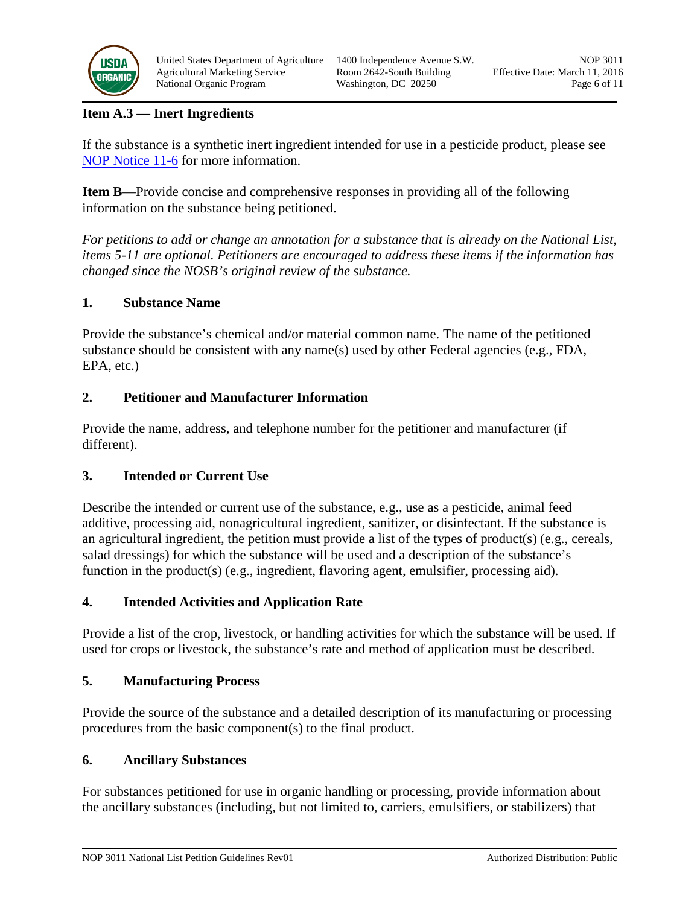

United States Department of Agriculture 1400 Independence Avenue S.W. NOP 3011 Agricultural Marketing Service Room 2642-South Building Effective Date: March 11, 2016 National Organic Program Washington, DC 20250 Page 6 of 11

### **Item A.3 — Inert Ingredients**

If the substance is a synthetic inert ingredient intended for use in a pesticide product, please see [NOP Notice 11-6](http://www.ams.usda.gov/sites/default/files/media/NOP-Notice-11-6.pdf) for more information.

**Item B**—Provide concise and comprehensive responses in providing all of the following information on the substance being petitioned.

*For petitions to add or change an annotation for a substance that is already on the National List, items 5-11 are optional. Petitioners are encouraged to address these items if the information has changed since the NOSB's original review of the substance.*

### **1. Substance Name**

Provide the substance's chemical and/or material common name. The name of the petitioned substance should be consistent with any name(s) used by other Federal agencies (e.g., FDA, EPA, etc.)

### **2. Petitioner and Manufacturer Information**

Provide the name, address, and telephone number for the petitioner and manufacturer (if different).

### **3. Intended or Current Use**

Describe the intended or current use of the substance, e.g., use as a pesticide, animal feed additive, processing aid, nonagricultural ingredient, sanitizer, or disinfectant. If the substance is an agricultural ingredient, the petition must provide a list of the types of product(s) (e.g., cereals, salad dressings) for which the substance will be used and a description of the substance's function in the product(s) (e.g., ingredient, flavoring agent, emulsifier, processing aid).

### **4. Intended Activities and Application Rate**

Provide a list of the crop, livestock, or handling activities for which the substance will be used. If used for crops or livestock, the substance's rate and method of application must be described.

### **5. Manufacturing Process**

Provide the source of the substance and a detailed description of its manufacturing or processing procedures from the basic component(s) to the final product.

### **6. Ancillary Substances**

For substances petitioned for use in organic handling or processing, provide information about the ancillary substances (including, but not limited to, carriers, emulsifiers, or stabilizers) that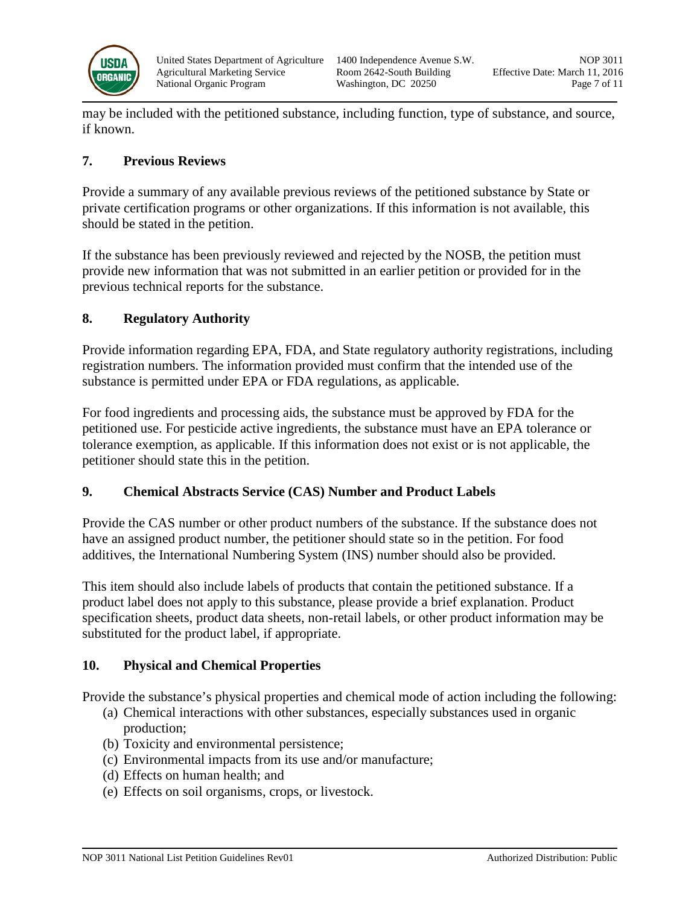

may be included with the petitioned substance, including function, type of substance, and source, if known.

### **7. Previous Reviews**

Provide a summary of any available previous reviews of the petitioned substance by State or private certification programs or other organizations. If this information is not available, this should be stated in the petition.

If the substance has been previously reviewed and rejected by the NOSB, the petition must provide new information that was not submitted in an earlier petition or provided for in the previous technical reports for the substance.

### **8. Regulatory Authority**

Provide information regarding EPA, FDA, and State regulatory authority registrations, including registration numbers. The information provided must confirm that the intended use of the substance is permitted under EPA or FDA regulations, as applicable.

For food ingredients and processing aids, the substance must be approved by FDA for the petitioned use. For pesticide active ingredients, the substance must have an EPA tolerance or tolerance exemption, as applicable. If this information does not exist or is not applicable, the petitioner should state this in the petition.

### **9. Chemical Abstracts Service (CAS) Number and Product Labels**

Provide the CAS number or other product numbers of the substance. If the substance does not have an assigned product number, the petitioner should state so in the petition. For food additives, the International Numbering System (INS) number should also be provided.

This item should also include labels of products that contain the petitioned substance. If a product label does not apply to this substance, please provide a brief explanation. Product specification sheets, product data sheets, non-retail labels, or other product information may be substituted for the product label, if appropriate.

# **10. Physical and Chemical Properties**

Provide the substance's physical properties and chemical mode of action including the following:

- (a) Chemical interactions with other substances, especially substances used in organic production;
- (b) Toxicity and environmental persistence;
- (c) Environmental impacts from its use and/or manufacture;
- (d) Effects on human health; and
- (e) Effects on soil organisms, crops, or livestock.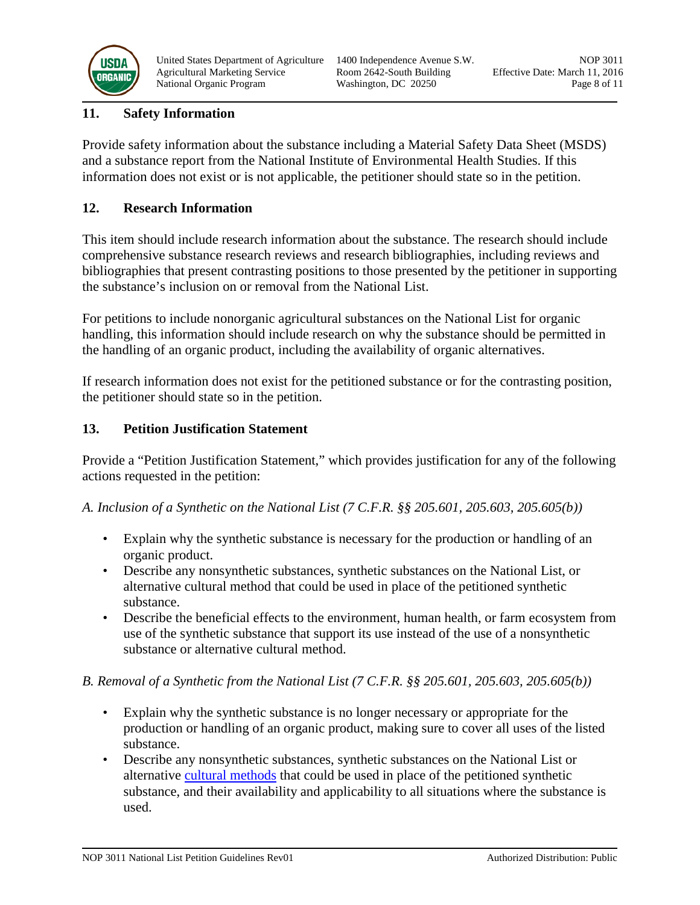

### **11. Safety Information**

Provide safety information about the substance including a Material Safety Data Sheet (MSDS) and a substance report from the National Institute of Environmental Health Studies. If this information does not exist or is not applicable, the petitioner should state so in the petition.

### **12. Research Information**

This item should include research information about the substance. The research should include comprehensive substance research reviews and research bibliographies, including reviews and bibliographies that present contrasting positions to those presented by the petitioner in supporting the substance's inclusion on or removal from the National List.

For petitions to include nonorganic agricultural substances on the National List for organic handling, this information should include research on why the substance should be permitted in the handling of an organic product, including the availability of organic alternatives.

If research information does not exist for the petitioned substance or for the contrasting position, the petitioner should state so in the petition.

### **13. Petition Justification Statement**

Provide a "Petition Justification Statement," which provides justification for any of the following actions requested in the petition:

*A. Inclusion of a Synthetic on the National List (7 C.F.R. §§ 205.601, 205.603, 205.605(b))*

- Explain why the synthetic substance is necessary for the production or handling of an organic product.
- Describe any nonsynthetic substances, synthetic substances on the National List, or alternative cultural method that could be used in place of the petitioned synthetic substance.
- Describe the beneficial effects to the environment, human health, or farm ecosystem from use of the synthetic substance that support its use instead of the use of a nonsynthetic substance or alternative cultural method.

### *B. Removal of a Synthetic from the National List (7 C.F.R. §§ 205.601, 205.603, 205.605(b))*

- Explain why the synthetic substance is no longer necessary or appropriate for the production or handling of an organic product, making sure to cover all uses of the listed substance.
- Describe any nonsynthetic substances, synthetic substances on the National List or alternative [cultural methods](#page-10-0) that could be used in place of the petitioned synthetic substance, and their availability and applicability to all situations where the substance is used.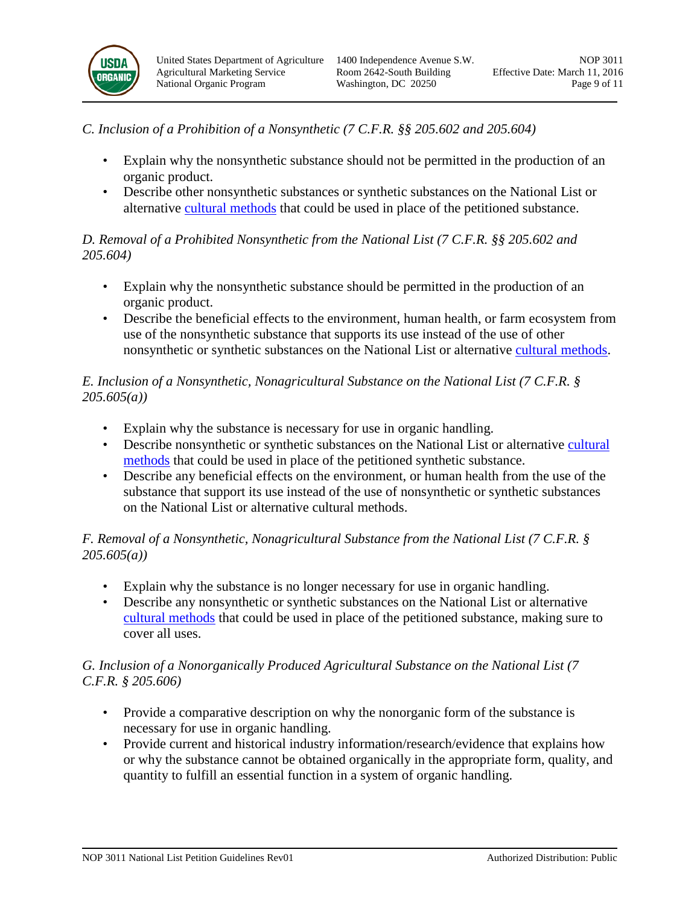

- *C. Inclusion of a Prohibition of a Nonsynthetic (7 C.F.R. §§ 205.602 and 205.604)*
	- Explain why the nonsynthetic substance should not be permitted in the production of an organic product.
	- Describe other nonsynthetic substances or synthetic substances on the National List or alternative [cultural methods](#page-10-0) that could be used in place of the petitioned substance.

### *D. Removal of a Prohibited Nonsynthetic from the National List (7 C.F.R. §§ 205.602 and 205.604)*

- Explain why the nonsynthetic substance should be permitted in the production of an organic product.
- Describe the beneficial effects to the environment, human health, or farm ecosystem from use of the nonsynthetic substance that supports its use instead of the use of other nonsynthetic or synthetic substances on the National List or alternative [cultural methods.](#page-10-0)

### *E. Inclusion of a Nonsynthetic, Nonagricultural Substance on the National List (7 C.F.R. § 205.605(a))*

- Explain why the substance is necessary for use in organic handling.
- Describe nonsynthetic or synthetic substances on the National List or alternative cultural [methods](#page-10-0) that could be used in place of the petitioned synthetic substance.
- Describe any beneficial effects on the environment, or human health from the use of the substance that support its use instead of the use of nonsynthetic or synthetic substances on the National List or alternative cultural methods.

# *F. Removal of a Nonsynthetic, Nonagricultural Substance from the National List (7 C.F.R. § 205.605(a))*

- Explain why the substance is no longer necessary for use in organic handling.
- Describe any nonsynthetic or synthetic substances on the National List or alternative [cultural methods](#page-10-0) that could be used in place of the petitioned substance, making sure to cover all uses.

### *G. Inclusion of a Nonorganically Produced Agricultural Substance on the National List (7 C.F.R. § 205.606)*

- Provide a comparative description on why the nonorganic form of the substance is necessary for use in organic handling.
- Provide current and historical industry information/research/evidence that explains how or why the substance cannot be obtained organically in the appropriate form, quality, and quantity to fulfill an essential function in a system of organic handling.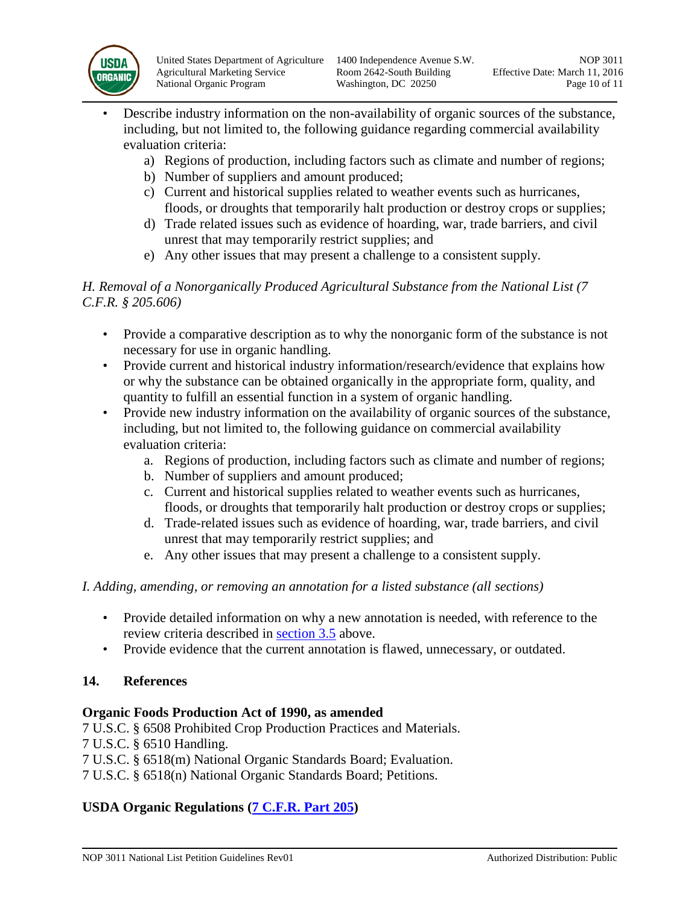

- Describe industry information on the non-availability of organic sources of the substance, including, but not limited to, the following guidance regarding commercial availability evaluation criteria:
	- a) Regions of production, including factors such as climate and number of regions;
	- b) Number of suppliers and amount produced;
	- c) Current and historical supplies related to weather events such as hurricanes, floods, or droughts that temporarily halt production or destroy crops or supplies;
	- d) Trade related issues such as evidence of hoarding, war, trade barriers, and civil unrest that may temporarily restrict supplies; and
	- e) Any other issues that may present a challenge to a consistent supply.

### *H. Removal of a Nonorganically Produced Agricultural Substance from the National List (7 C.F.R. § 205.606)*

- Provide a comparative description as to why the nonorganic form of the substance is not necessary for use in organic handling.
- Provide current and historical industry information/research/evidence that explains how or why the substance can be obtained organically in the appropriate form, quality, and quantity to fulfill an essential function in a system of organic handling.
- Provide new industry information on the availability of organic sources of the substance, including, but not limited to, the following guidance on commercial availability evaluation criteria:
	- a. Regions of production, including factors such as climate and number of regions;
	- b. Number of suppliers and amount produced;
	- c. Current and historical supplies related to weather events such as hurricanes, floods, or droughts that temporarily halt production or destroy crops or supplies;
	- d. Trade-related issues such as evidence of hoarding, war, trade barriers, and civil unrest that may temporarily restrict supplies; and
	- e. Any other issues that may present a challenge to a consistent supply.

### *I. Adding, amending, or removing an annotation for a listed substance (all sections)*

- Provide detailed information on why a new annotation is needed, with reference to the review criteria described in [section 3.5](#page-1-0) above.
- Provide evidence that the current annotation is flawed, unnecessary, or outdated.

# **14. References**

### **Organic Foods Production Act of 1990, as amended**

7 U.S.C. § 6508 Prohibited Crop Production Practices and Materials.

- 7 U.S.C. § 6510 Handling.
- 7 U.S.C. § 6518(m) National Organic Standards Board; Evaluation.
- 7 U.S.C. § 6518(n) National Organic Standards Board; Petitions.

# **USDA Organic Regulations (7 C.F.R. [Part 205\)](http://www.ecfr.gov/cgi-bin/text-idx?c=ecfr&sid=3f34f4c22f9aa8e6d9864cc2683cea02&tpl=/ecfrbrowse/Title07/7cfr205_main_02.tpl)**